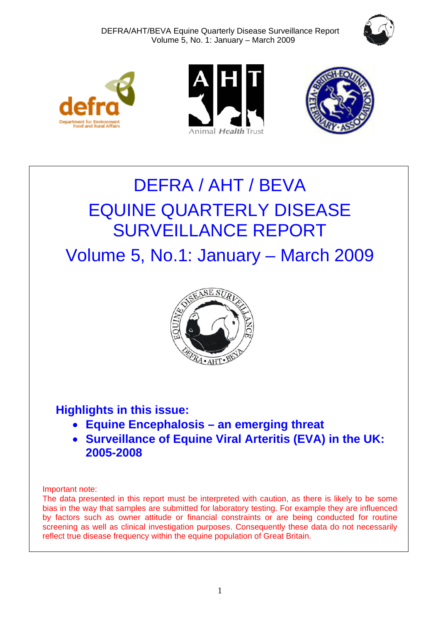







# DEFRA / AHT / BEVA EQUINE QUARTERLY DISEASE SURVEILLANCE REPORT

Volume 5, No.1: January – March 2009



## **Highlights in this issue:**

- **Equine Encephalosis an emerging threat**
- **Surveillance of Equine Viral Arteritis (EVA) in the UK: 2005-2008**

Important note:

The data presented in this report must be interpreted with caution, as there is likely to be some bias in the way that samples are submitted for laboratory testing. For example they are influenced by factors such as owner attitude or financial constraints or are being conducted for routine screening as well as clinical investigation purposes. Consequently these data do not necessarily reflect true disease frequency within the equine population of Great Britain.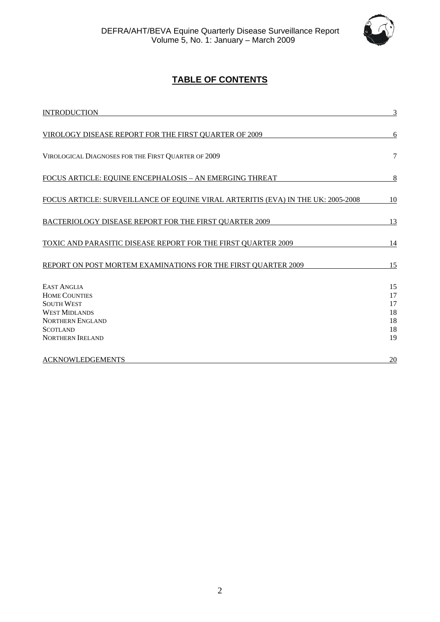

## **TABLE OF CONTENTS**

| <b>INTRODUCTION</b>                                                                                                                                              | 3                                      |
|------------------------------------------------------------------------------------------------------------------------------------------------------------------|----------------------------------------|
| VIROLOGY DISEASE REPORT FOR THE FIRST QUARTER OF 2009                                                                                                            | 6                                      |
| VIROLOGICAL DIAGNOSES FOR THE FIRST QUARTER OF 2009                                                                                                              | 7                                      |
| FOCUS ARTICLE: EQUINE ENCEPHALOSIS - AN EMERGING THREAT                                                                                                          | 8                                      |
| FOCUS ARTICLE: SURVEILLANCE OF EQUINE VIRAL ARTERITIS (EVA) IN THE UK: 2005-2008                                                                                 | 10                                     |
| BACTERIOLOGY DISEASE REPORT FOR THE FIRST QUARTER 2009                                                                                                           | 13                                     |
| TOXIC AND PARASITIC DISEASE REPORT FOR THE FIRST QUARTER 2009                                                                                                    | 14                                     |
| REPORT ON POST MORTEM EXAMINATIONS FOR THE FIRST QUARTER 2009                                                                                                    | 15                                     |
| <b>EAST ANGLIA</b><br><b>HOME COUNTIES</b><br><b>SOUTH WEST</b><br><b>WEST MIDLANDS</b><br><b>NORTHERN ENGLAND</b><br><b>SCOTLAND</b><br><b>NORTHERN IRELAND</b> | 15<br>17<br>17<br>18<br>18<br>18<br>19 |
| <b>ACKNOWLEDGEMENTS</b>                                                                                                                                          | 20                                     |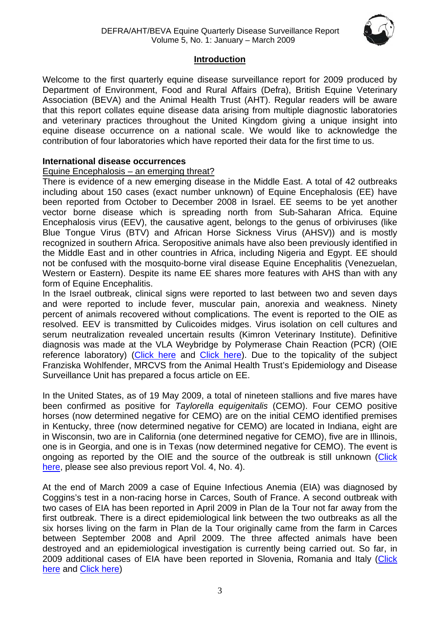

#### **Introduction**

<span id="page-2-1"></span><span id="page-2-0"></span>Welcome to the first quarterly equine disease surveillance report for 2009 produced by Department of Environment, Food and Rural Affairs (Defra), British Equine Veterinary Association (BEVA) and the Animal Health Trust (AHT). Regular readers will be aware that this report collates equine disease data arising from multiple diagnostic laboratories and veterinary practices throughout the United Kingdom giving a unique insight into equine disease occurrence on a national scale. We would like to acknowledge the contribution of four laboratories which have reported their data for the first time to us.

#### **International disease occurrences**

#### Equine Encephalosis – an emerging threat?

There is evidence of a new emerging disease in the Middle East. A total of 42 outbreaks including about 150 cases (exact number unknown) of Equine Encephalosis (EE) have been reported from October to December 2008 in Israel. EE seems to be yet another vector borne disease which is spreading north from Sub-Saharan Africa. Equine Encephalosis virus (EEV), the causative agent, belongs to the genus of orbiviruses (like Blue Tongue Virus (BTV) and African Horse Sickness Virus (AHSV)) and is mostly recognized in southern Africa. Seropositive animals have also been previously identified in the Middle East and in other countries in Africa, including Nigeria and Egypt. EE should not be confused with the mosquito-borne viral disease Equine Encephalitis (Venezuelan, Western or Eastern). Despite its name EE shares more features with AHS than with any form of Equine Encephalitis.

In the Israel outbreak, clinical signs were reported to last between two and seven days and were reported to include fever, muscular pain, anorexia and weakness. Ninety percent of animals recovered without complications. The event is reported to the OIE as resolved. EEV is transmitted by Culicoides midges. Virus isolation on cell cultures and serum neutralization revealed uncertain results (Kimron Veterinary Institute). Definitive diagnosis was made at the VLA Weybridge by Polymerase Chain Reaction (PCR) (OIE reference laboratory) ([Click here](http://www.oie.int/eng/en_index.htm) and [Click here\)](http://www.promedmail.org/pls/otn/f?p=2400:1000:). Due to the topicality of the subject Franziska Wohlfender, MRCVS from the Animal Health Trust's Epidemiology and Disease Surveillance Unit has prepared a focus article on EE.

In the United States, as of 19 May 2009, a total of nineteen stallions and five mares have been confirmed as positive for *Taylorella equigenitalis* (CEMO). Four CEMO positive horses (now determined negative for CEMO) are on the initial CEMO identified premises in Kentucky, three (now determined negative for CEMO) are located in Indiana, eight are in Wisconsin, two are in California (one determined negative for CEMO), five are in Illinois, one is in Georgia, and one is in Texas (now determined negative for CEMO). The event is ongoing as reported by the OIE and the source of the outbreak is still unknown ([Click](http://www.oie.int/eng/en_index.htm)  [here,](http://www.oie.int/eng/en_index.htm) please see also previous report Vol. 4, No. 4).

At the end of March 2009 a case of Equine Infectious Anemia (EIA) was diagnosed by Coggins's test in a non-racing horse in Carces, South of France. A second outbreak with two cases of EIA has been reported in April 2009 in Plan de la Tour not far away from the first outbreak. There is a direct epidemiological link between the two outbreaks as all the six horses living on the farm in Plan de la Tour originally came from the farm in Carces between September 2008 and April 2009. The three affected animals have been destroyed and an epidemiological investigation is currently being carried out. So far, in 2009 additional cases of EIA have been reported in Slovenia, Romania and Italy ([Click](http://www.oie.int/eng/en_index.htm)  [here](http://www.oie.int/eng/en_index.htm) and [Click here\)](http://www.defra.gov.uk/animalh/diseases/monitoring/pdf/eia-eu-update090415.pdf)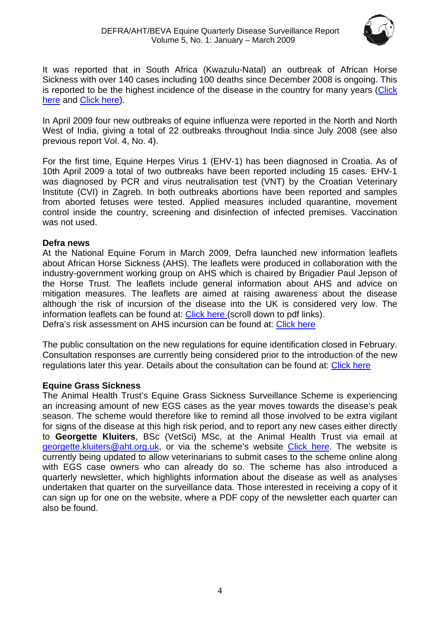

It was reported that in South Africa (Kwazulu-Natal) an outbreak of African Horse Sickness with over 140 cases including 100 deaths since December 2008 is ongoing. This is reported to be the highest incidence of the disease in the country for many years (Click [here](http://news.iafrica.com/sa/1375699.htm) and [Click here\)](http://www.africanhorsesickness.co.za/).

In April 2009 four new outbreaks of equine influenza were reported in the North and North West of India, giving a total of 22 outbreaks throughout India since July 2008 (see also previous report Vol. 4, No. 4).

For the first time, Equine Herpes Virus 1 (EHV-1) has been diagnosed in Croatia. As of 10th April 2009 a total of two outbreaks have been reported including 15 cases. EHV-1 was diagnosed by PCR and virus neutralisation test (VNT) by the Croatian Veterinary Institute (CVI) in Zagreb. In both outbreaks abortions have been reported and samples from aborted fetuses were tested. Applied measures included quarantine, movement control inside the country, screening and disinfection of infected premises. Vaccination was not used.

#### **Defra news**

At the National Equine Forum in March 2009, Defra launched new information leaflets about African Horse Sickness (AHS). The leaflets were produced in collaboration with the industry-government working group on AHS which is chaired by Brigadier Paul Jepson of the Horse Trust. The leaflets include general information about AHS and advice on mitigation measures. The leaflets are aimed at raising awareness about the disease although the risk of incursion of the disease into the UK is considered very low. The information leaflets can be found at: [Click here \(](http://www.defra.gov.uk/animalh/diseases/notifiable/africanhorse/index.htm)scroll down to pdf links). Defra's risk assessment on AHS incursion can be found at: [Click here](http://www.defra.gov.uk/animalh/diseases/monitoring/pdf/ahs_uk081106.pdf)

The public consultation on the new regulations for equine identification closed in February. Consultation responses are currently being considered prior to the introduction of the new regulations later this year. Details about the consultation can be found at: [Click here](http://www.defra.gov.uk/corporate/consult/equine-id/index.htm)

#### **Equine Grass Sickness**

The Animal Health Trust's Equine Grass Sickness Surveillance Scheme is experiencing an increasing amount of new EGS cases as the year moves towards the disease's peak season. The scheme would therefore like to remind all those involved to be extra vigilant for signs of the disease at this high risk period, and to report any new cases either directly to **Georgette Kluiters**, BSc (VetSci) MSc, at the Animal Health Trust via email at [georgette.kluiters@aht.org.uk](mailto:georgette.kluiters@aht.org.uk), or via the scheme's website [Click here.](http://www.equinegrasssickness.co.uk/) The website is currently being updated to allow veterinarians to submit cases to the scheme online along with EGS case owners who can already do so. The scheme has also introduced a quarterly newsletter, which highlights information about the disease as well as analyses undertaken that quarter on the surveillance data. Those interested in receiving a copy of it can sign up for one on the website, where a PDF copy of the newsletter each quarter can also be found.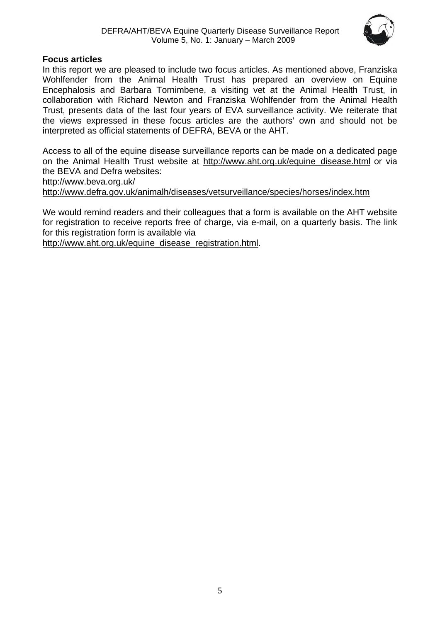

#### **Focus articles**

In this report we are pleased to include two focus articles. As mentioned above, Franziska Wohlfender from the Animal Health Trust has prepared an overview on Equine Encephalosis and Barbara Tornimbene, a visiting vet at the Animal Health Trust, in collaboration with Richard Newton and Franziska Wohlfender from the Animal Health Trust, presents data of the last four years of EVA surveillance activity. We reiterate that the views expressed in these focus articles are the authors' own and should not be interpreted as official statements of DEFRA, BEVA or the AHT.

Access to all of the equine disease surveillance reports can be made on a dedicated page on the Animal Health Trust website at [http://www.aht.org.uk/equine\\_disease.html](http://www.aht.org.uk/equine_disease.html) or via the BEVA and Defra websites:

<http://www.beva.org.uk/>

<http://www.defra.gov.uk/animalh/diseases/vetsurveillance/species/horses/index.htm>

We would remind readers and their colleagues that a form is available on the AHT website for registration to receive reports free of charge, via e-mail, on a quarterly basis. The link for this registration form is available via

[http://www.aht.org.uk/equine\\_disease\\_registration.html.](http://www.aht.org.uk/equine_disease_registration.html)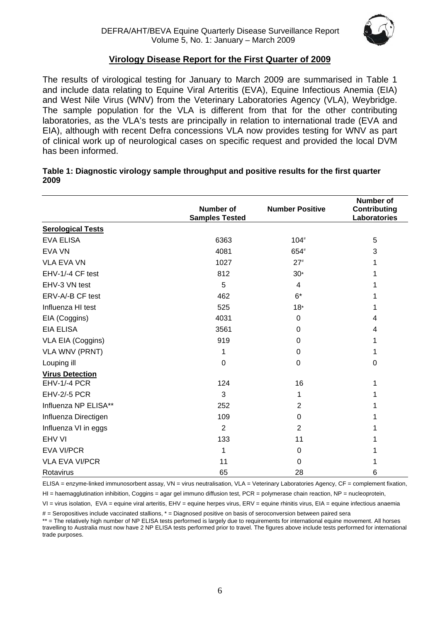

#### **Virology Disease Report for the First Quarter of 2009**

<span id="page-5-1"></span><span id="page-5-0"></span>The results of virological testing for January to March 2009 are summarised in Table 1 and include data relating to Equine Viral Arteritis (EVA), Equine Infectious Anemia (EIA) and West Nile Virus (WNV) from the Veterinary Laboratories Agency (VLA), Weybridge. The sample population for the VLA is different from that for the other contributing laboratories, as the VLA's tests are principally in relation to international trade (EVA and EIA), although with recent Defra concessions VLA now provides testing for WNV as part of clinical work up of neurological cases on specific request and provided the local DVM has been informed.

| Table 1: Diagnostic virology sample throughput and positive results for the first quarter |  |
|-------------------------------------------------------------------------------------------|--|
| 2009                                                                                      |  |

|                          | <b>Number of</b><br><b>Samples Tested</b> | <b>Number Positive</b> | <b>Number of</b><br><b>Contributing</b><br>Laboratories |
|--------------------------|-------------------------------------------|------------------------|---------------------------------------------------------|
| <b>Serological Tests</b> |                                           |                        |                                                         |
| <b>EVA ELISA</b>         | 6363                                      | $104*$                 | 5                                                       |
| <b>EVA VN</b>            | 4081                                      | 654#                   | 3                                                       |
| <b>VLA EVA VN</b>        | 1027                                      | $27*$                  |                                                         |
| EHV-1/-4 CF test         | 812                                       | $30*$                  |                                                         |
| EHV-3 VN test            | 5                                         | 4                      |                                                         |
| ERV-A/-B CF test         | 462                                       | $6*$                   |                                                         |
| Influenza HI test        | 525                                       | $18*$                  |                                                         |
| EIA (Coggins)            | 4031                                      | 0                      | 4                                                       |
| <b>EIA ELISA</b>         | 3561                                      | 0                      | 4                                                       |
| VLA EIA (Coggins)        | 919                                       | $\mathbf 0$            | 1                                                       |
| <b>VLA WNV (PRNT)</b>    | 1                                         | $\mathbf 0$            |                                                         |
| Louping ill              | $\Omega$                                  | 0                      | 0                                                       |
| <b>Virus Detection</b>   |                                           |                        |                                                         |
| EHV-1/-4 PCR             | 124                                       | 16                     |                                                         |
| <b>EHV-2/-5 PCR</b>      | 3                                         | 1                      |                                                         |
| Influenza NP ELISA**     | 252                                       | $\overline{2}$         |                                                         |
| Influenza Directigen     | 109                                       | $\mathbf 0$            |                                                         |
| Influenza VI in eggs     | $\overline{2}$                            | $\overline{2}$         |                                                         |
| EHV VI                   | 133                                       | 11                     |                                                         |
| <b>EVA VI/PCR</b>        | 1                                         | 0                      |                                                         |
| <b>VLA EVA VI/PCR</b>    | 11                                        | $\mathbf 0$            |                                                         |
| Rotavirus                | 65                                        | 28                     | 6                                                       |

ELISA = enzyme-linked immunosorbent assay, VN = virus neutralisation, VLA = Veterinary Laboratories Agency, CF = complement fixation,

HI = haemagglutination inhibition, Coggins = agar gel immuno diffusion test, PCR = polymerase chain reaction, NP = nucleoprotein,

VI = virus isolation, EVA = equine viral arteritis, EHV = equine herpes virus, ERV = equine rhinitis virus, EIA = equine infectious anaemia

# = Seropositives include vaccinated stallions, \* = Diagnosed positive on basis of seroconversion between paired sera

\*\* = The relatively high number of NP ELISA tests performed is largely due to requirements for international equine movement. All horses travelling to Australia must now have 2 NP ELISA tests performed prior to travel. The figures above include tests performed for international trade purposes.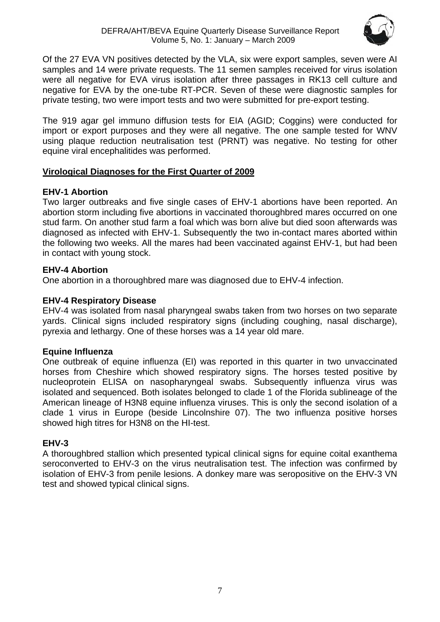

<span id="page-6-0"></span>Of the 27 EVA VN positives detected by the VLA, six were export samples, seven were AI samples and 14 were private requests. The 11 semen samples received for virus isolation were all negative for EVA virus isolation after three passages in RK13 cell culture and negative for EVA by the one-tube RT-PCR. Seven of these were diagnostic samples for private testing, two were import tests and two were submitted for pre-export testing.

The 919 agar gel immuno diffusion tests for EIA (AGID; Coggins) were conducted for import or export purposes and they were all negative. The one sample tested for WNV using plaque reduction neutralisation test (PRNT) was negative. No testing for other equine viral encephalitides was performed.

## <span id="page-6-1"></span>**Virological Diagnoses for the First Quarter of 2009**

## **EHV-1 Abortion**

Two larger outbreaks and five single cases of EHV-1 abortions have been reported. An abortion storm including five abortions in vaccinated thoroughbred mares occurred on one stud farm. On another stud farm a foal which was born alive but died soon afterwards was diagnosed as infected with EHV-1. Subsequently the two in-contact mares aborted within the following two weeks. All the mares had been vaccinated against EHV-1, but had been in contact with young stock.

## **EHV-4 Abortion**

One abortion in a thoroughbred mare was diagnosed due to EHV-4 infection.

## **EHV-4 Respiratory Disease**

EHV-4 was isolated from nasal pharyngeal swabs taken from two horses on two separate yards. Clinical signs included respiratory signs (including coughing, nasal discharge), pyrexia and lethargy. One of these horses was a 14 year old mare.

## **Equine Influenza**

One outbreak of equine influenza (EI) was reported in this quarter in two unvaccinated horses from Cheshire which showed respiratory signs. The horses tested positive by nucleoprotein ELISA on nasopharyngeal swabs. Subsequently influenza virus was isolated and sequenced. Both isolates belonged to clade 1 of the Florida sublineage of the American lineage of H3N8 equine influenza viruses. This is only the second isolation of a clade 1 virus in Europe (beside Lincolnshire 07). The two influenza positive horses showed high titres for H3N8 on the HI-test.

## **EHV-3**

A thoroughbred stallion which presented typical clinical signs for equine coital exanthema seroconverted to EHV-3 on the virus neutralisation test. The infection was confirmed by isolation of EHV-3 from penile lesions. A donkey mare was seropositive on the EHV-3 VN test and showed typical clinical signs.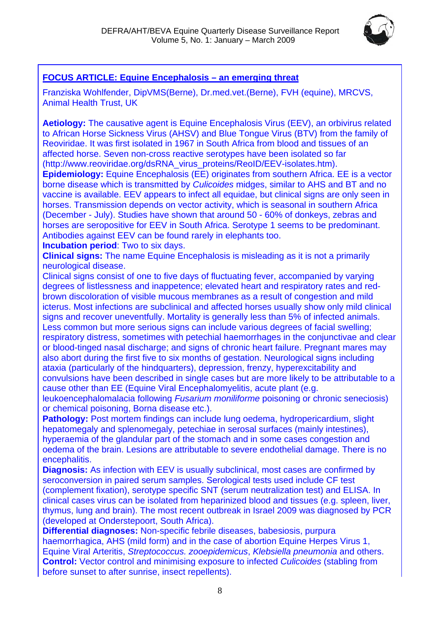

## <span id="page-7-1"></span><span id="page-7-0"></span>**FOCUS ARTICLE: Equine Encephalosis – an emerging threat**

Franziska Wohlfender, DipVMS(Berne), Dr.med.vet.(Berne), FVH (equine), MRCVS, Animal Health Trust, UK

**Aetiology:** The causative agent is Equine Encephalosis Virus (EEV), an orbivirus related to African Horse Sickness Virus (AHSV) and Blue Tongue Virus (BTV) from the family of Reoviridae. It was first isolated in 1967 in South Africa from blood and tissues of an affected horse. Seven non-cross reactive serotypes have been isolated so far (http://www.reoviridae.org/dsRNA\_virus\_proteins/ReoID/EEV-isolates.htm).

**Epidemiology:** Equine Encephalosis (EE) originates from southern Africa. EE is a vector borne disease which is transmitted by *Culicoides* midges, similar to AHS and BT and no vaccine is available. EEV appears to infect all equidae, but clinical signs are only seen in horses. Transmission depends on vector activity, which is seasonal in southern Africa (December - July). Studies have shown that around 50 - 60% of donkeys, zebras and horses are seropositive for EEV in South Africa. Serotype 1 seems to be predominant. Antibodies against EEV can be found rarely in elephants too.

**Incubation period**: Two to six days.

**Clinical signs:** The name Equine Encephalosis is misleading as it is not a primarily neurological disease.

Clinical signs consist of one to five days of fluctuating fever, accompanied by varying degrees of listlessness and inappetence; elevated heart and respiratory rates and redbrown discoloration of visible mucous membranes as a result of congestion and mild icterus. Most infections are subclinical and affected horses usually show only mild clinical signs and recover uneventfully. Mortality is generally less than 5% of infected animals. Less common but more serious signs can include various degrees of facial swelling; respiratory distress, sometimes with petechial haemorrhages in the conjunctivae and clear or blood-tinged nasal discharge; and signs of chronic heart failure. Pregnant mares may also abort during the first five to six months of gestation. Neurological signs including ataxia (particularly of the hindquarters), depression, frenzy, hyperexcitability and convulsions have been described in single cases but are more likely to be attributable to a cause other than EE (Equine Viral Encephalomyelitis, acute plant (e.g.

leukoencephalomalacia following *Fusarium moniliforme* poisoning or chronic seneciosis) or chemical poisoning, Borna disease etc.).

**Pathology:** Post mortem findings can include lung oedema, hydropericardium, slight hepatomegaly and splenomegaly, petechiae in serosal surfaces (mainly intestines), hyperaemia of the glandular part of the stomach and in some cases congestion and oedema of the brain. Lesions are attributable to severe endothelial damage. There is no encephalitis.

**Diagnosis:** As infection with EEV is usually subclinical, most cases are confirmed by seroconversion in paired serum samples. Serological tests used include CF test (complement fixation), serotype specific SNT (serum neutralization test) and ELISA. In clinical cases virus can be isolated from heparinized blood and tissues (e.g. spleen, liver, thymus, lung and brain). The most recent outbreak in Israel 2009 was diagnosed by PCR (developed at Onderstepoort, South Africa).

**Differential diagnoses:** Non-specific febrile diseases, babesiosis, purpura haemorrhagica, AHS (mild form) and in the case of abortion Equine Herpes Virus 1, Equine Viral Arteritis, *Streptococcus. zooepidemicus*, *Klebsiella pneumonia* and others. **Control:** Vector control and minimising exposure to infected *Culicoides* (stabling from before sunset to after sunrise, insect repellents).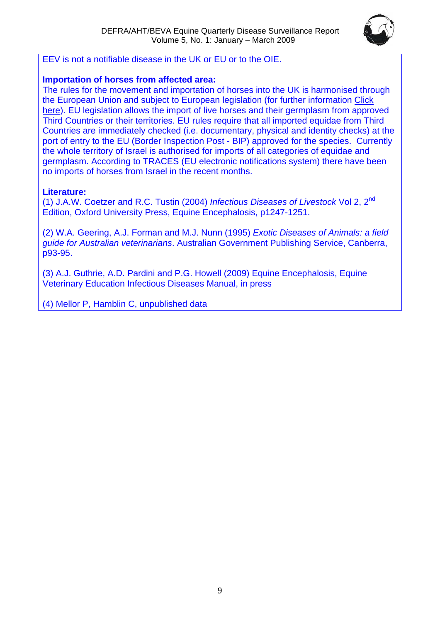

EEV is not a notifiable disease in the UK or EU or to the OIE.

#### **Importation of horses from affected area:**

The rules for the movement and importation of horses into the UK is harmonised through the European Union and subject to European legislation (for further information [Click](http://www.defra.gov.uk/animalh/int-trde/default.htm)  [here\)](http://www.defra.gov.uk/animalh/int-trde/default.htm). EU legislation allows the import of live horses and their germplasm from approved Third Countries or their territories. EU rules require that all imported equidae from Third Countries are immediately checked (i.e. documentary, physical and identity checks) at the port of entry to the EU (Border Inspection Post - BIP) approved for the species. Currently the whole territory of Israel is authorised for imports of all categories of equidae and germplasm. According to TRACES (EU electronic notifications system) there have been no imports of horses from Israel in the recent months.

## **Literature:**

(1) J.A.W. Coetzer and R.C. Tustin (2004) *Infectious Diseases of Livestock* Vol 2, 2nd Edition, Oxford University Press, Equine Encephalosis, p1247-1251.

(2) W.A. Geering, A.J. Forman and M.J. Nunn (1995) *Exotic Diseases of Animals: a field guide for Australian veterinarians*. Australian Government Publishing Service, Canberra, p93-95.

(3) A.J. Guthrie, A.D. Pardini and P.G. Howell (2009) Equine Encephalosis, Equine Veterinary Education Infectious Diseases Manual, in press

(4) Mellor P, Hamblin C, unpublished data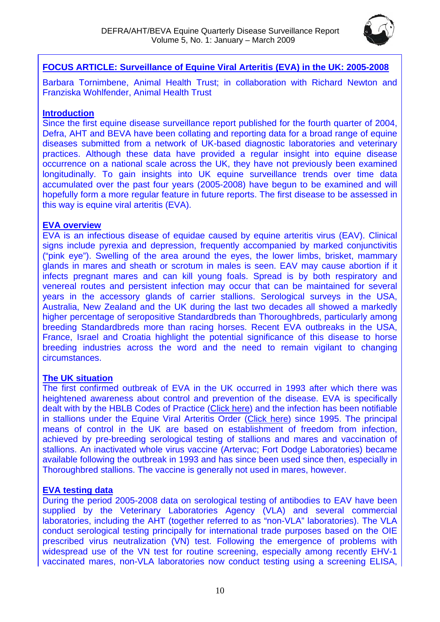

## <span id="page-9-1"></span><span id="page-9-0"></span>**FOCUS ARTICLE: Surveillance of Equine Viral Arteritis (EVA) in the UK: 2005-2008**

Barbara Tornimbene, Animal Health Trust; in collaboration with Richard Newton and Franziska Wohlfender, Animal Health Trust

## **Introduction**

Since the first equine disease surveillance report published for the fourth quarter of 2004, Defra, AHT and BEVA have been collating and reporting data for a broad range of equine diseases submitted from a network of UK-based diagnostic laboratories and veterinary practices. Although these data have provided a regular insight into equine disease occurrence on a national scale across the UK, they have not previously been examined longitudinally. To gain insights into UK equine surveillance trends over time data accumulated over the past four years (2005-2008) have begun to be examined and will hopefully form a more regular feature in future reports. The first disease to be assessed in this way is equine viral arteritis (EVA).

#### **EVA overview**

EVA is an infectious disease of equidae caused by equine arteritis virus (EAV). Clinical signs include pyrexia and depression, frequently accompanied by marked conjunctivitis ("pink eye"). Swelling of the area around the eyes, the lower limbs, brisket, mammary glands in mares and sheath or scrotum in males is seen. EAV may cause abortion if it infects pregnant mares and can kill young foals. Spread is by both respiratory and venereal routes and persistent infection may occur that can be maintained for several years in the accessory glands of carrier stallions. Serological surveys in the USA, Australia, New Zealand and the UK during the last two decades all showed a markedly higher percentage of seropositive Standardbreds than Thoroughbreds, particularly among breeding Standardbreds more than racing horses. Recent EVA outbreaks in the USA, France, Israel and Croatia highlight the potential significance of this disease to horse breeding industries across the word and the need to remain vigilant to changing circumstances.

## **The UK situation**

The first confirmed outbreak of EVA in the UK occurred in 1993 after which there was heightened awareness about control and prevention of the disease. EVA is specifically dealt with by the HBLB Codes of Practice ([Click here](http://www.hblb.org.uk/sndFile.php?fileID=21)) and the infection has been notifiable in stallions under the Equine Viral Arteritis Order ([Click here](http://www.defra.gov.uk/animalh/diseases/notifiable/eva)) since 1995. The principal means of control in the UK are based on establishment of freedom from infection, achieved by pre-breeding serological testing of stallions and mares and vaccination of stallions. An inactivated whole virus vaccine (Artervac; Fort Dodge Laboratories) became available following the outbreak in 1993 and has since been used since then, especially in Thoroughbred stallions. The vaccine is generally not used in mares, however.

## **EVA testing data**

During the period 2005-2008 data on serological testing of antibodies to EAV have been supplied by the Veterinary Laboratories Agency (VLA) and several commercial laboratories, including the AHT (together referred to as "non-VLA" laboratories). The VLA conduct serological testing principally for international trade purposes based on the OIE prescribed virus neutralization (VN) test. Following the emergence of problems with widespread use of the VN test for routine screening, especially among recently EHV-1 vaccinated mares, non-VLA laboratories now conduct testing using a screening ELISA,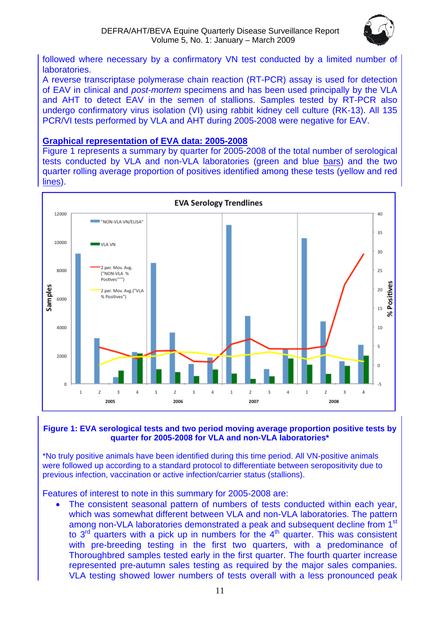

followed where necessary by a confirmatory VN test conducted by a limited number of laboratories.

A reverse transcriptase polymerase chain reaction (RT-PCR) assay is used for detection of EAV in clinical and *post-mortem* specimens and has been used principally by the VLA and AHT to detect EAV in the semen of stallions. Samples tested by RT-PCR also undergo confirmatory virus isolation (VI) using rabbit kidney cell culture (RK-13). All 135 PCR/VI tests performed by VLA and AHT during 2005-2008 were negative for EAV.

#### **Graphical representation of EVA data: 2005-2008**

Figure 1 represents a summary by quarter for 2005-2008 of the total number of serological tests conducted by VLA and non-VLA laboratories (green and blue bars) and the two quarter rolling average proportion of positives identified among these tests (yellow and red lines).



#### **Figure 1: EVA serological tests and two period moving average proportion positive tests by quarter for 2005-2008 for VLA and non-VLA laboratories\***

\*No truly positive animals have been identified during this time period. All VN-positive animals were followed up according to a standard protocol to differentiate between seropositivity due to previous infection, vaccination or active infection/carrier status (stallions).

Features of interest to note in this summary for 2005-2008 are:

The consistent seasonal pattern of numbers of tests conducted within each year, which was somewhat different between VLA and non-VLA laboratories. The pattern among non-VLA laboratories demonstrated a peak and subsequent decline from 1<sup>st</sup> to  $3<sup>rd</sup>$  quarters with a pick up in numbers for the  $4<sup>th</sup>$  quarter. This was consistent with pre-breeding testing in the first two quarters, with a predominance of Thoroughbred samples tested early in the first quarter. The fourth quarter increase represented pre-autumn sales testing as required by the major sales companies. VLA testing showed lower numbers of tests overall with a less pronounced peak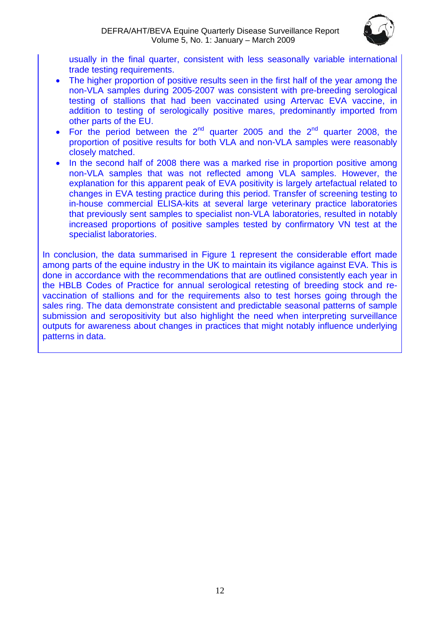

usually in the final quarter, consistent with less seasonally variable international trade testing requirements.

- The higher proportion of positive results seen in the first half of the year among the non-VLA samples during 2005-2007 was consistent with pre-breeding serological testing of stallions that had been vaccinated using Artervac EVA vaccine, in addition to testing of serologically positive mares, predominantly imported from other parts of the EU.
- For the period between the  $2^{nd}$  quarter 2005 and the  $2^{nd}$  quarter 2008, the proportion of positive results for both VLA and non-VLA samples were reasonably closely matched.
- In the second half of 2008 there was a marked rise in proportion positive among non-VLA samples that was not reflected among VLA samples. However, the explanation for this apparent peak of EVA positivity is largely artefactual related to changes in EVA testing practice during this period. Transfer of screening testing to in-house commercial ELISA-kits at several large veterinary practice laboratories that previously sent samples to specialist non-VLA laboratories, resulted in notably increased proportions of positive samples tested by confirmatory VN test at the specialist laboratories.

In conclusion, the data summarised in Figure 1 represent the considerable effort made among parts of the equine industry in the UK to maintain its vigilance against EVA. This is done in accordance with the recommendations that are outlined consistently each year in the HBLB Codes of Practice for annual serological retesting of breeding stock and revaccination of stallions and for the requirements also to test horses going through the sales ring. The data demonstrate consistent and predictable seasonal patterns of sample submission and seropositivity but also highlight the need when interpreting surveillance outputs for awareness about changes in practices that might notably influence underlying patterns in data.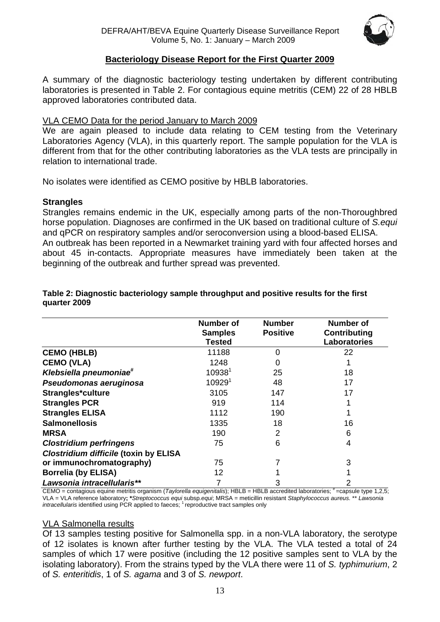

#### **Bacteriology Disease Report for the First Quarter 2009**

<span id="page-12-1"></span><span id="page-12-0"></span>A summary of the diagnostic bacteriology testing undertaken by different contributing laboratories is presented in Table 2. For contagious equine metritis (CEM) 22 of 28 HBLB approved laboratories contributed data.

#### VLA CEMO Data for the period January to March 2009

We are again pleased to include data relating to CEM testing from the Veterinary Laboratories Agency (VLA), in this quarterly report. The sample population for the VLA is different from that for the other contributing laboratories as the VLA tests are principally in relation to international trade.

No isolates were identified as CEMO positive by HBLB laboratories.

## **Strangles**

Strangles remains endemic in the UK, especially among parts of the non-Thoroughbred horse population. Diagnoses are confirmed in the UK based on traditional culture of *S.equi* and qPCR on respiratory samples and/or seroconversion using a blood-based ELISA. An outbreak has been reported in a Newmarket training yard with four affected horses and about 45 in-contacts. Appropriate measures have immediately been taken at the beginning of the outbreak and further spread was prevented.

|                                              | <b>Number of</b><br><b>Samples</b><br><b>Tested</b> | <b>Number</b><br><b>Positive</b> | <b>Number of</b><br>Contributing<br>Laboratories |
|----------------------------------------------|-----------------------------------------------------|----------------------------------|--------------------------------------------------|
| <b>CEMO (HBLB)</b>                           | 11188                                               | $\Omega$                         | 22                                               |
| <b>CEMO (VLA)</b>                            | 1248                                                | $\Omega$                         |                                                  |
| Klebsiella pneumoniae <sup>#</sup>           | 10938 <sup>1</sup>                                  | 25                               | 18                                               |
| Pseudomonas aeruginosa                       | 10929 <sup>1</sup>                                  | 48                               | 17                                               |
| Strangles*culture                            | 3105                                                | 147                              | 17                                               |
| <b>Strangles PCR</b>                         | 919                                                 | 114                              |                                                  |
| <b>Strangles ELISA</b>                       | 1112                                                | 190                              |                                                  |
| <b>Salmonellosis</b>                         | 1335                                                | 18                               | 16                                               |
| <b>MRSA</b>                                  | 190                                                 | $\mathcal{P}$                    | 6                                                |
| <b>Clostridium perfringens</b>               | 75                                                  | 6                                | 4                                                |
| <b>Clostridium difficile (toxin by ELISA</b> |                                                     |                                  |                                                  |
| or immunochromatography)                     | 75                                                  |                                  | 3                                                |
| <b>Borrelia (by ELISA)</b>                   | 12                                                  |                                  |                                                  |
| Lawsonia intracellularis**                   |                                                     | 3                                |                                                  |

#### **Table 2: Diagnostic bacteriology sample throughput and positive results for the first quarter 2009**

CEMO = contagious equine metritis organism (*Taylorella equigenitalis*); HBLB = HBLB accredited laboratories; #=capsule type 1,2,5; VLA = VLA reference laboratory**; \****Streptococcus equi* subsp*.equi*; MRSA = meticillin resistant *Staphylococcus aureus.* \*\* *Lawsonia intracellularis* identified using PCR applied to faeces; 1 reproductive tract samples only

#### VLA Salmonella results

Of 13 samples testing positive for Salmonella spp. in a non-VLA laboratory, the serotype of 12 isolates is known after further testing by the VLA. The VLA tested a total of 24 samples of which 17 were positive (including the 12 positive samples sent to VLA by the isolating laboratory). From the strains typed by the VLA there were 11 of *S. typhimurium*, 2 of *S. enteritidis*, 1 of *S. agama* and 3 of *S. newport*.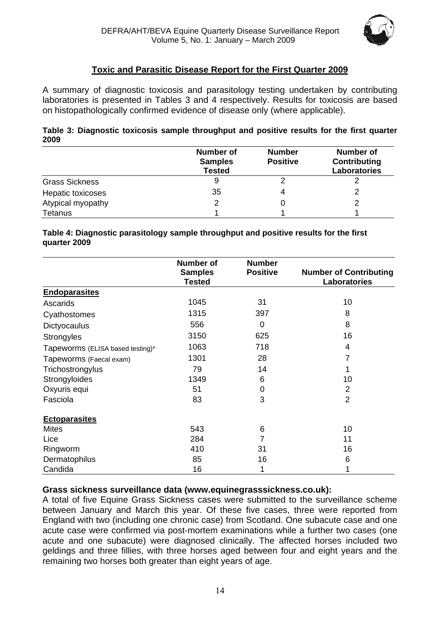

## **Toxic and Parasitic Disease Report for the First Quarter 2009**

<span id="page-13-1"></span><span id="page-13-0"></span>A summary of diagnostic toxicosis and parasitology testing undertaken by contributing laboratories is presented in Tables 3 and 4 respectively. Results for toxicosis are based on histopathologically confirmed evidence of disease only (where applicable).

| Table 3: Diagnostic toxicosis sample throughput and positive results for the first quarter |  |  |  |  |
|--------------------------------------------------------------------------------------------|--|--|--|--|
| 2009                                                                                       |  |  |  |  |

|                       | <b>Number of</b><br><b>Samples</b><br><b>Tested</b> | <b>Number</b><br><b>Positive</b> | <b>Number of</b><br>Contributing<br><b>Laboratories</b> |
|-----------------------|-----------------------------------------------------|----------------------------------|---------------------------------------------------------|
| <b>Grass Sickness</b> | 9                                                   |                                  |                                                         |
| Hepatic toxicoses     | 35                                                  |                                  |                                                         |
| Atypical myopathy     |                                                     |                                  |                                                         |
| <b>Tetanus</b>        |                                                     |                                  |                                                         |

#### **Table 4: Diagnostic parasitology sample throughput and positive results for the first quarter 2009**

|                                  | <b>Number of</b><br><b>Samples</b><br><b>Tested</b> | <b>Number</b><br><b>Positive</b> | <b>Number of Contributing</b><br>Laboratories |
|----------------------------------|-----------------------------------------------------|----------------------------------|-----------------------------------------------|
| <b>Endoparasites</b>             |                                                     |                                  |                                               |
| Ascarids                         | 1045                                                | 31                               | 10                                            |
| Cyathostomes                     | 1315                                                | 397                              | 8                                             |
| Dictyocaulus                     | 556                                                 | $\mathbf 0$                      | 8                                             |
| <b>Strongyles</b>                | 3150                                                | 625                              | 16                                            |
| Tapeworms (ELISA based testing)* | 1063                                                | 718                              | 4                                             |
| Tapeworms (Faecal exam)          | 1301                                                | 28                               | 7                                             |
| Trichostrongylus                 | 79                                                  | 14                               |                                               |
| Strongyloides                    | 1349                                                | 6                                | 10                                            |
| Oxyuris equi                     | 51                                                  | 0                                | $\overline{2}$                                |
| Fasciola                         | 83                                                  | 3                                | $\overline{2}$                                |
| <b>Ectoparasites</b>             |                                                     |                                  |                                               |
| <b>Mites</b>                     | 543                                                 | 6                                | 10                                            |
| Lice                             | 284                                                 | 7                                | 11                                            |
| Ringworm                         | 410                                                 | 31                               | 16                                            |
| Dermatophilus                    | 85                                                  | 16                               | 6                                             |
| Candida                          | 16                                                  | 1                                |                                               |

#### **Grass sickness surveillance data (www.equinegrasssickness.co.uk):**

A total of five Equine Grass Sickness cases were submitted to the surveillance scheme between January and March this year. Of these five cases, three were reported from England with two (including one chronic case) from Scotland. One subacute case and one acute case were confirmed via post-mortem examinations while a further two cases (one acute and one subacute) were diagnosed clinically. The affected horses included two geldings and three fillies, with three horses aged between four and eight years and the remaining two horses both greater than eight years of age.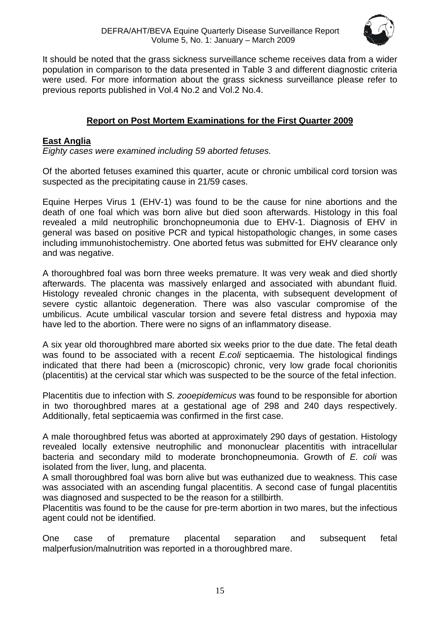

<span id="page-14-0"></span>It should be noted that the grass sickness surveillance scheme receives data from a wider population in comparison to the data presented in Table 3 and different diagnostic criteria were used. For more information about the grass sickness surveillance please refer to previous reports published in Vol.4 No.2 and Vol.2 No.4.

## **Report on Post Mortem Examinations for the First Quarter 2009**

## <span id="page-14-2"></span><span id="page-14-1"></span>**East Anglia**

*Eighty cases were examined including 59 aborted fetuses.* 

Of the aborted fetuses examined this quarter, acute or chronic umbilical cord torsion was suspected as the precipitating cause in 21/59 cases.

Equine Herpes Virus 1 (EHV-1) was found to be the cause for nine abortions and the death of one foal which was born alive but died soon afterwards. Histology in this foal revealed a mild neutrophilic bronchopneumonia due to EHV-1. Diagnosis of EHV in general was based on positive PCR and typical histopathologic changes, in some cases including immunohistochemistry. One aborted fetus was submitted for EHV clearance only and was negative.

A thoroughbred foal was born three weeks premature. It was very weak and died shortly afterwards. The placenta was massively enlarged and associated with abundant fluid. Histology revealed chronic changes in the placenta, with subsequent development of severe cystic allantoic degeneration. There was also vascular compromise of the umbilicus. Acute umbilical vascular torsion and severe fetal distress and hypoxia may have led to the abortion. There were no signs of an inflammatory disease.

A six year old thoroughbred mare aborted six weeks prior to the due date. The fetal death was found to be associated with a recent *E.coli* septicaemia. The histological findings indicated that there had been a (microscopic) chronic, very low grade focal chorionitis (placentitis) at the cervical star which was suspected to be the source of the fetal infection.

Placentitis due to infection with *S. zooepidemicus* was found to be responsible for abortion in two thoroughbred mares at a gestational age of 298 and 240 days respectively. Additionally, fetal septicaemia was confirmed in the first case.

A male thoroughbred fetus was aborted at approximately 290 days of gestation. Histology revealed locally extensive neutrophilic and mononuclear placentitis with intracellular bacteria and secondary mild to moderate bronchopneumonia. Growth of *E. coli* was isolated from the liver, lung, and placenta.

A small thoroughbred foal was born alive but was euthanized due to weakness. This case was associated with an ascending fungal placentitis. A second case of fungal placentitis was diagnosed and suspected to be the reason for a stillbirth.

Placentitis was found to be the cause for pre-term abortion in two mares, but the infectious agent could not be identified.

One case of premature placental separation and subsequent fetal malperfusion/malnutrition was reported in a thoroughbred mare.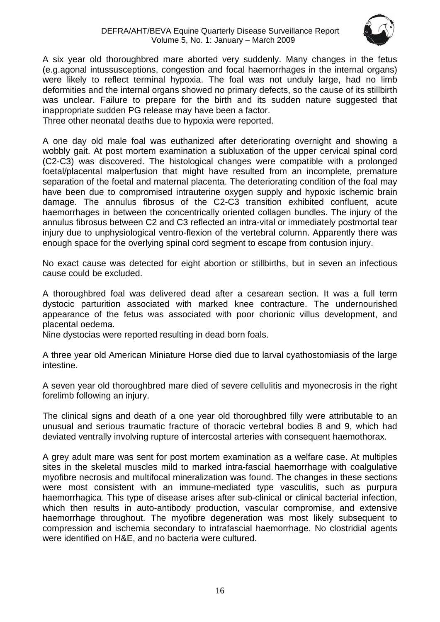

A six year old thoroughbred mare aborted very suddenly. Many changes in the fetus (e.g.agonal intussusceptions, congestion and focal haemorrhages in the internal organs) were likely to reflect terminal hypoxia. The foal was not unduly large, had no limb deformities and the internal organs showed no primary defects, so the cause of its stillbirth was unclear. Failure to prepare for the birth and its sudden nature suggested that inappropriate sudden PG release may have been a factor.

Three other neonatal deaths due to hypoxia were reported.

A one day old male foal was euthanized after deteriorating overnight and showing a wobbly gait. At post mortem examination a subluxation of the upper cervical spinal cord (C2-C3) was discovered. The histological changes were compatible with a prolonged foetal/placental malperfusion that might have resulted from an incomplete, premature separation of the foetal and maternal placenta. The deteriorating condition of the foal may have been due to compromised intrauterine oxygen supply and hypoxic ischemic brain damage. The annulus fibrosus of the C2-C3 transition exhibited confluent, acute haemorrhages in between the concentrically oriented collagen bundles. The injury of the annulus fibrosus between C2 and C3 reflected an intra-vital or immediately postmortal tear injury due to unphysiological ventro-flexion of the vertebral column. Apparently there was enough space for the overlying spinal cord segment to escape from contusion injury.

No exact cause was detected for eight abortion or stillbirths, but in seven an infectious cause could be excluded.

A thoroughbred foal was delivered dead after a cesarean section. It was a full term dystocic parturition associated with marked knee contracture. The undernourished appearance of the fetus was associated with poor chorionic villus development, and placental oedema.

Nine dystocias were reported resulting in dead born foals.

A three year old American Miniature Horse died due to larval cyathostomiasis of the large intestine.

A seven year old thoroughbred mare died of severe cellulitis and myonecrosis in the right forelimb following an injury.

The clinical signs and death of a one year old thoroughbred filly were attributable to an unusual and serious traumatic fracture of thoracic vertebral bodies 8 and 9, which had deviated ventrally involving rupture of intercostal arteries with consequent haemothorax.

A grey adult mare was sent for post mortem examination as a welfare case. At multiples sites in the skeletal muscles mild to marked intra-fascial haemorrhage with coalgulative myofibre necrosis and multifocal mineralization was found. The changes in these sections were most consistent with an immune-mediated type vasculitis, such as purpura haemorrhagica. This type of disease arises after sub-clinical or clinical bacterial infection, which then results in auto-antibody production, vascular compromise, and extensive haemorrhage throughout. The myofibre degeneration was most likely subsequent to compression and ischemia secondary to intrafascial haemorrhage. No clostridial agents were identified on H&E, and no bacteria were cultured.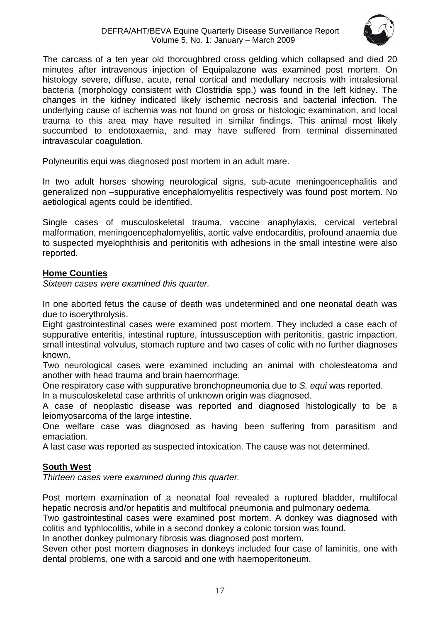

<span id="page-16-0"></span>The carcass of a ten year old thoroughbred cross gelding which collapsed and died 20 minutes after intravenous injection of Equipalazone was examined post mortem. On histology severe, diffuse, acute, renal cortical and medullary necrosis with intralesional bacteria (morphology consistent with Clostridia spp.) was found in the left kidney. The changes in the kidney indicated likely ischemic necrosis and bacterial infection. The underlying cause of ischemia was not found on gross or histologic examination, and local trauma to this area may have resulted in similar findings. This animal most likely succumbed to endotoxaemia, and may have suffered from terminal disseminated intravascular coagulation.

Polyneuritis equi was diagnosed post mortem in an adult mare.

In two adult horses showing neurological signs, sub-acute meningoencephalitis and generalized non –suppurative encephalomyelitis respectively was found post mortem. No aetiological agents could be identified.

Single cases of musculoskeletal trauma, vaccine anaphylaxis, cervical vertebral malformation, meningoencephalomyelitis, aortic valve endocarditis, profound anaemia due to suspected myelophthisis and peritonitis with adhesions in the small intestine were also reported.

## <span id="page-16-1"></span>**Home Counties**

*Sixteen cases were examined this quarter.* 

In one aborted fetus the cause of death was undetermined and one neonatal death was due to isoerythrolysis.

Eight gastrointestinal cases were examined post mortem. They included a case each of suppurative enteritis, intestinal rupture, intussusception with peritonitis, gastric impaction, small intestinal volvulus, stomach rupture and two cases of colic with no further diagnoses known.

Two neurological cases were examined including an animal with cholesteatoma and another with head trauma and brain haemorrhage.

One respiratory case with suppurative bronchopneumonia due to *S. equi* was reported.

In a musculoskeletal case arthritis of unknown origin was diagnosed.

A case of neoplastic disease was reported and diagnosed histologically to be a leiomyosarcoma of the large intestine.

One welfare case was diagnosed as having been suffering from parasitism and emaciation.

A last case was reported as suspected intoxication. The cause was not determined.

## <span id="page-16-2"></span>**South West**

*Thirteen cases were examined during this quarter.* 

Post mortem examination of a neonatal foal revealed a ruptured bladder, multifocal hepatic necrosis and/or hepatitis and multifocal pneumonia and pulmonary oedema.

Two gastrointestinal cases were examined post mortem. A donkey was diagnosed with colitis and typhlocolitis, while in a second donkey a colonic torsion was found.

In another donkey pulmonary fibrosis was diagnosed post mortem.

Seven other post mortem diagnoses in donkeys included four case of laminitis, one with dental problems, one with a sarcoid and one with haemoperitoneum.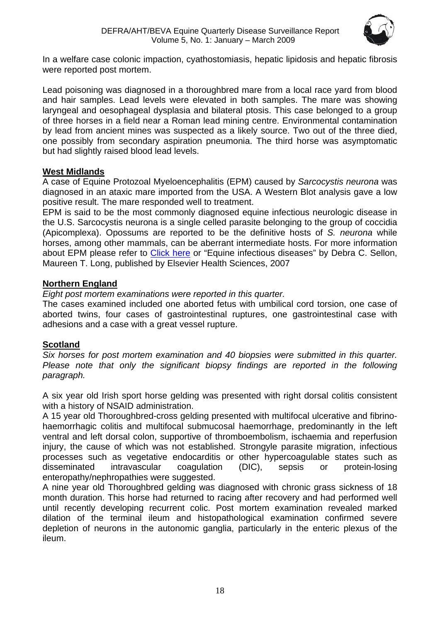

<span id="page-17-0"></span>In a welfare case colonic impaction, cyathostomiasis, hepatic lipidosis and hepatic fibrosis were reported post mortem.

Lead poisoning was diagnosed in a thoroughbred mare from a local race yard from blood and hair samples. Lead levels were elevated in both samples. The mare was showing laryngeal and oesophageal dysplasia and bilateral ptosis. This case belonged to a group of three horses in a field near a Roman lead mining centre. Environmental contamination by lead from ancient mines was suspected as a likely source. Two out of the three died, one possibly from secondary aspiration pneumonia. The third horse was asymptomatic but had slightly raised blood lead levels.

#### <span id="page-17-1"></span>**West Midlands**

A case of Equine Protozoal Myeloencephalitis (EPM) caused by *Sarcocystis neurona* was diagnosed in an ataxic mare imported from the USA. A Western Blot analysis gave a low positive result. The mare responded well to treatment.

EPM is said to be the most commonly diagnosed equine infectious neurologic disease in the U.S. Sarcocystis neurona is a single celled parasite belonging to the group of coccidia (Apicomplexa). Opossums are reported to be the definitive hosts of *S. neurona* while horses, among other mammals, can be aberrant intermediate hosts. For more information about EPM please refer to [Click here](http://www.aaep.org/health_articles_view.php?id=225) or "Equine infectious diseases" by Debra C. Sellon, Maureen T. Long, published by Elsevier Health Sciences, 2007

## <span id="page-17-2"></span>**Northern England**

*Eight post mortem examinations were reported in this quarter.* 

The cases examined included one aborted fetus with umbilical cord torsion, one case of aborted twins, four cases of gastrointestinal ruptures, one gastrointestinal case with adhesions and a case with a great vessel rupture.

## <span id="page-17-3"></span>**Scotland**

*Six horses for post mortem examination and 40 biopsies were submitted in this quarter. Please note that only the significant biopsy findings are reported in the following paragraph.* 

A six year old Irish sport horse gelding was presented with right dorsal colitis consistent with a history of NSAID administration.

A 15 year old Thoroughbred-cross gelding presented with multifocal ulcerative and fibrinohaemorrhagic colitis and multifocal submucosal haemorrhage, predominantly in the left ventral and left dorsal colon, supportive of thromboembolism, ischaemia and reperfusion injury, the cause of which was not established. Strongyle parasite migration, infectious processes such as vegetative endocarditis or other hypercoagulable states such as disseminated intravascular coagulation (DIC), sepsis or protein-losing enteropathy/nephropathies were suggested.

A nine year old Thoroughbred gelding was diagnosed with chronic grass sickness of 18 month duration. This horse had returned to racing after recovery and had performed well until recently developing recurrent colic. Post mortem examination revealed marked dilation of the terminal ileum and histopathological examination confirmed severe depletion of neurons in the autonomic ganglia, particularly in the enteric plexus of the ileum.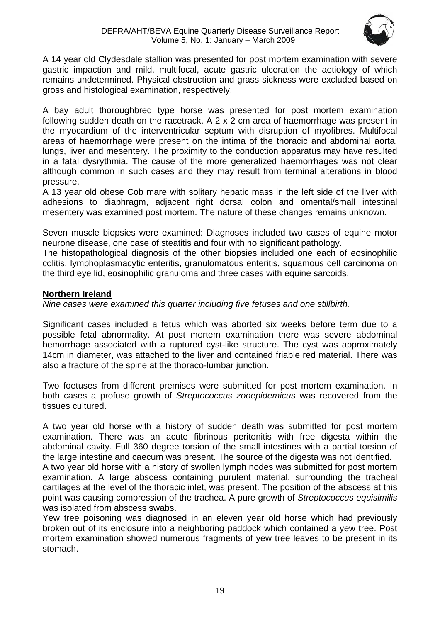

<span id="page-18-0"></span>A 14 year old Clydesdale stallion was presented for post mortem examination with severe gastric impaction and mild, multifocal, acute gastric ulceration the aetiology of which remains undetermined. Physical obstruction and grass sickness were excluded based on gross and histological examination, respectively.

A bay adult thoroughbred type horse was presented for post mortem examination following sudden death on the racetrack. A 2 x 2 cm area of haemorrhage was present in the myocardium of the interventricular septum with disruption of myofibres. Multifocal areas of haemorrhage were present on the intima of the thoracic and abdominal aorta, lungs, liver and mesentery. The proximity to the conduction apparatus may have resulted in a fatal dysrythmia. The cause of the more generalized haemorrhages was not clear although common in such cases and they may result from terminal alterations in blood pressure.

A 13 year old obese Cob mare with solitary hepatic mass in the left side of the liver with adhesions to diaphragm, adjacent right dorsal colon and omental/small intestinal mesentery was examined post mortem. The nature of these changes remains unknown.

Seven muscle biopsies were examined: Diagnoses included two cases of equine motor neurone disease, one case of steatitis and four with no significant pathology.

The histopathological diagnosis of the other biopsies included one each of eosinophilic colitis, lymphoplasmacytic enteritis, granulomatous enteritis, squamous cell carcinoma on the third eye lid, eosinophilic granuloma and three cases with equine sarcoids.

## <span id="page-18-1"></span>**Northern Ireland**

*Nine cases were examined this quarter including five fetuses and one stillbirth.* 

Significant cases included a fetus which was aborted six weeks before term due to a possible fetal abnormality. At post mortem examination there was severe abdominal hemorrhage associated with a ruptured cyst-like structure. The cyst was approximately 14cm in diameter, was attached to the liver and contained friable red material. There was also a fracture of the spine at the thoraco-lumbar junction.

Two foetuses from different premises were submitted for post mortem examination. In both cases a profuse growth of *Streptococcus zooepidemicus* was recovered from the tissues cultured.

A two year old horse with a history of sudden death was submitted for post mortem examination. There was an acute fibrinous peritonitis with free digesta within the abdominal cavity. Full 360 degree torsion of the small intestines with a partial torsion of the large intestine and caecum was present. The source of the digesta was not identified.

A two year old horse with a history of swollen lymph nodes was submitted for post mortem examination. A large abscess containing purulent material, surrounding the tracheal cartilages at the level of the thoracic inlet, was present. The position of the abscess at this point was causing compression of the trachea. A pure growth of *Streptococcus equisimilis* was isolated from abscess swabs.

Yew tree poisoning was diagnosed in an eleven year old horse which had previously broken out of its enclosure into a neighboring paddock which contained a yew tree. Post mortem examination showed numerous fragments of yew tree leaves to be present in its stomach.